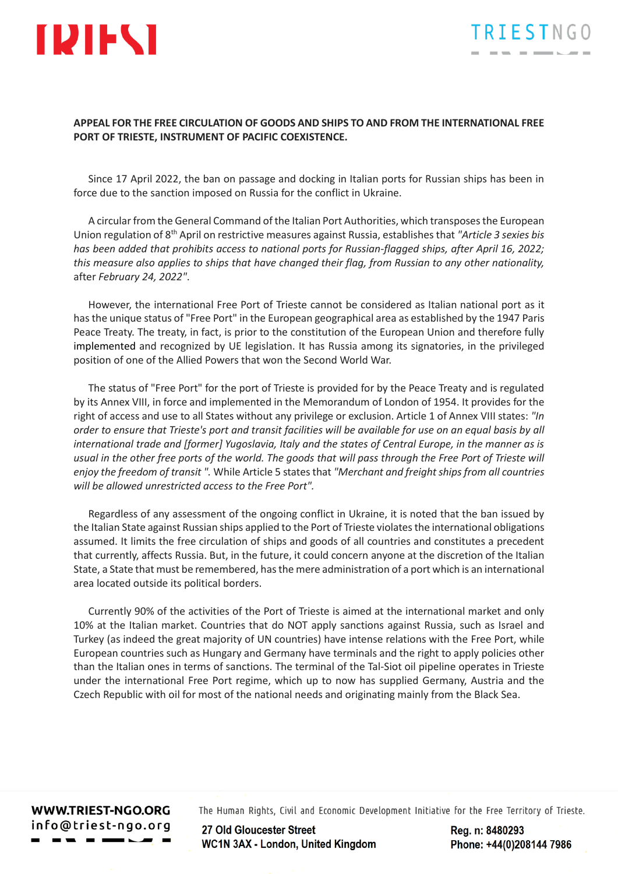

## **APPEAL FOR THE FREE CIRCULATION OF GOODS AND SHIPS TO AND FROM THE INTERNATIONAL FREE PORT OF TRIESTE, INSTRUMENT OF PACIFIC COEXISTENCE.**

Since 17 April 2022, the ban on passage and docking in Italian ports for Russian ships has been in force due to the sanction imposed on Russia for the conflict in Ukraine.

A circular from the General Command of the Italian Port Authorities, which transposes the European Union regulation of 8th April on restrictive measures against Russia, establishes that *"Article 3 sexies bis has been added that prohibits access to national ports for Russian-flagged ships, after April 16, 2022; this measure also applies to ships that have changed their flag, from Russian to any other nationality,*  after *February 24, 2022"*.

However, the international Free Port of Trieste cannot be considered as Italian national port as it has the unique status of "Free Port" in the European geographical area as established by the 1947 Paris Peace Treaty. The treaty, in fact, is prior to the constitution of the European Union and therefore fully implemented and recognized by UE legislation. It has Russia among its signatories, in the privileged position of one of the Allied Powers that won the Second World War.

The status of "Free Port" for the port of Trieste is provided for by the Peace Treaty and is regulated by its Annex VIII, in force and implemented in the Memorandum of London of 1954. It provides for the right of access and use to all States without any privilege or exclusion. Article 1 of Annex VIII states: *"In order to ensure that Trieste's port and transit facilities will be available for use on an equal basis by all international trade and [former] Yugoslavia, Italy and the states of Central Europe, in the manner as is usual in the other free ports of the world. The goods that will pass through the Free Port of Trieste will enjoy the freedom of transit ".* While Article 5 states that *"Merchant and freight ships from all countries will be allowed unrestricted access to the Free Port".*

Regardless of any assessment of the ongoing conflict in Ukraine, it is noted that the ban issued by the Italian State against Russian ships applied to the Port of Trieste violates the international obligations assumed. It limits the free circulation of ships and goods of all countries and constitutes a precedent that currently, affects Russia. But, in the future, it could concern anyone at the discretion of the Italian State, a State that must be remembered, has the mere administration of a port which is an international area located outside its political borders.

Currently 90% of the activities of the Port of Trieste is aimed at the international market and only 10% at the Italian market. Countries that do NOT apply sanctions against Russia, such as Israel and Turkey (as indeed the great majority of UN countries) have intense relations with the Free Port, while European countries such as Hungary and Germany have terminals and the right to apply policies other than the Italian ones in terms of sanctions. The terminal of the Tal-Siot oil pipeline operates in Trieste under the international Free Port regime, which up to now has supplied Germany, Austria and the Czech Republic with oil for most of the national needs and originating mainly from the Black Sea.

WWW.TRIEST-NGO.ORG info@triest-ngo.org The Human Rights, Civil and Economic Development Initiative for the Free Territory of Trieste.

27 Old Gloucester Street **WC1N 3AX - London, United Kingdom**  Rea. n: 8480293 Phone: +44(0)208144 7986